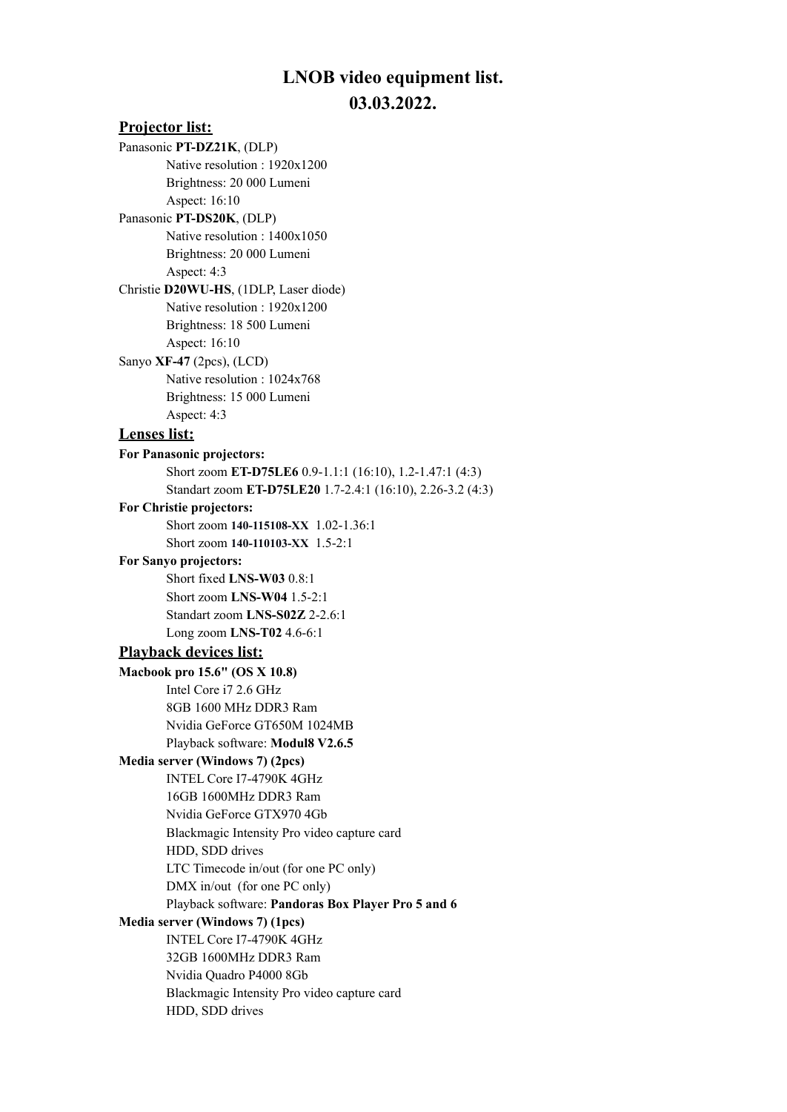## **LNOB video equipment list. 03.03.2022.**

## **Projector list:** Panasonic **PT-DZ21K**, (DLP) Native resolution : 1920x1200 Brightness: 20 000 Lumeni Aspect: 16:10 Panasonic **PT-DS20K**, (DLP) Native resolution : 1400x1050 Brightness: 20 000 Lumeni Aspect: 4:3 Christie **D20WU-HS**, (1DLP, Laser diode) Native resolution : 1920x1200 Brightness: 18 500 Lumeni Aspect: 16:10 Sanyo **XF-47** (2pcs), (LCD) Native resolution : 1024x768 Brightness: 15 000 Lumeni Aspect: 4:3 **Lenses list: For Panasonic projectors:** Short zoom **ET-D75LE6** 0.9-1.1:1 (16:10), 1.2-1.47:1 (4:3) Standart zoom **ET-D75LE20** 1.7-2.4:1 (16:10), 2.26-3.2 (4:3) **For Christie projectors:** Short zoom **140-115108-XX** 1.02-1.36:1 Short zoom **140-110103-XX** 1.5-2:1 **For Sanyo projectors:** Short fixed **LNS-W03** 0.8:1 Short zoom **LNS-W04** 1.5-2:1 Standart zoom **LNS-S02Z** 2-2.6:1 Long zoom **LNS-T02** 4.6-6:1 **Playback devices list: Macbook pro 15.6" (OS X 10.8)** Intel Core i7 2.6 GHz 8GB 1600 MHz DDR3 Ram Nvidia GeForce GT650M 1024MB Playback software: **Modul8 V2.6.5 Media server (Windows 7) (2pcs)** INTEL Core I7-4790K 4GHz 16GB 1600MHz DDR3 Ram Nvidia GeForce GTX970 4Gb Blackmagic Intensity Pro video capture card HDD, SDD drives LTC Timecode in/out (for one PC only) DMX in/out (for one PC only) Playback software: **Pandoras Box Player Pro 5 and 6 Media server (Windows 7) (1pcs)** INTEL Core I7-4790K 4GHz 32GB 1600MHz DDR3 Ram Nvidia Quadro P4000 8Gb Blackmagic Intensity Pro video capture card HDD, SDD drives